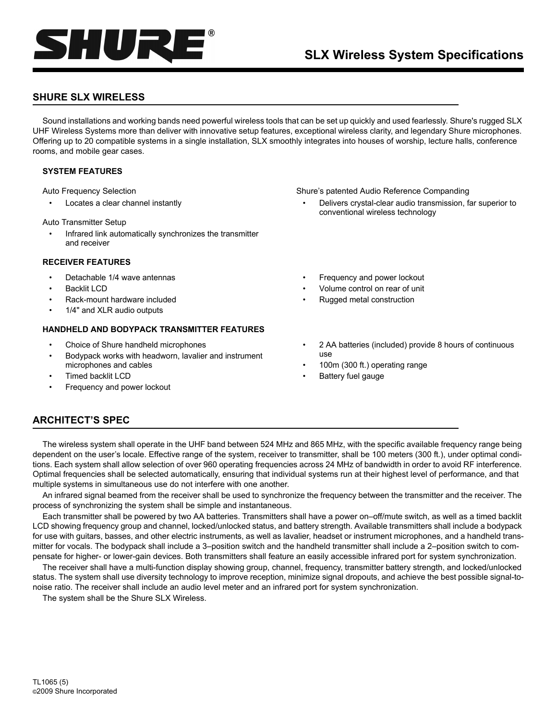

# **SHURE SLX WIRELESS**

Sound installations and working bands need powerful wireless tools that can be set up quickly and used fearlessly. Shure's rugged SLX UHF Wireless Systems more than deliver with innovative setup features, exceptional wireless clarity, and legendary Shure microphones. Offering up to 20 compatible systems in a single installation, SLX smoothly integrates into houses of worship, lecture halls, conference rooms, and mobile gear cases.

# **SYSTEM FEATURES**

Auto Frequency Selection

Locates a clear channel instantly

Auto Transmitter Setup

• Infrared link automatically synchronizes the transmitter and receiver

# **RECEIVER FEATURES**

- Detachable 1/4 wave antennas
- Backlit LCD
- Rack-mount hardware included
- 1/4" and XLR audio outputs

# **HANDHELD AND BODYPACK TRANSMITTER FEATURES**

- Choice of Shure handheld microphones
- Bodypack works with headworn, lavalier and instrument microphones and cables
- Timed backlit LCD
- Frequency and power lockout
- Shure's patented Audio Reference Companding
	- Delivers crystal-clear audio transmission, far superior to conventional wireless technology
	- Frequency and power lockout
	- Volume control on rear of unit
	- Rugged metal construction
	- 2 AA batteries (included) provide 8 hours of continuous use
	- 100m (300 ft.) operating range
	- Battery fuel gauge

# **ARCHITECT'S SPEC**

The wireless system shall operate in the UHF band between 524 MHz and 865 MHz, with the specific available frequency range being dependent on the user's locale. Effective range of the system, receiver to transmitter, shall be 100 meters (300 ft.), under optimal conditions. Each system shall allow selection of over 960 operating frequencies across 24 MHz of bandwidth in order to avoid RF interference. Optimal frequencies shall be selected automatically, ensuring that individual systems run at their highest level of performance, and that multiple systems in simultaneous use do not interfere with one another.

An infrared signal beamed from the receiver shall be used to synchronize the frequency between the transmitter and the receiver. The process of synchronizing the system shall be simple and instantaneous.

Each transmitter shall be powered by two AA batteries. Transmitters shall have a power on–off/mute switch, as well as a timed backlit LCD showing frequency group and channel, locked/unlocked status, and battery strength. Available transmitters shall include a bodypack for use with guitars, basses, and other electric instruments, as well as lavalier, headset or instrument microphones, and a handheld transmitter for vocals. The bodypack shall include a 3–position switch and the handheld transmitter shall include a 2–position switch to compensate for higher- or lower-gain devices. Both transmitters shall feature an easily accessible infrared port for system synchronization.

The receiver shall have a multi-function display showing group, channel, frequency, transmitter battery strength, and locked/unlocked status. The system shall use diversity technology to improve reception, minimize signal dropouts, and achieve the best possible signal-tonoise ratio. The receiver shall include an audio level meter and an infrared port for system synchronization.

The system shall be the Shure SLX Wireless.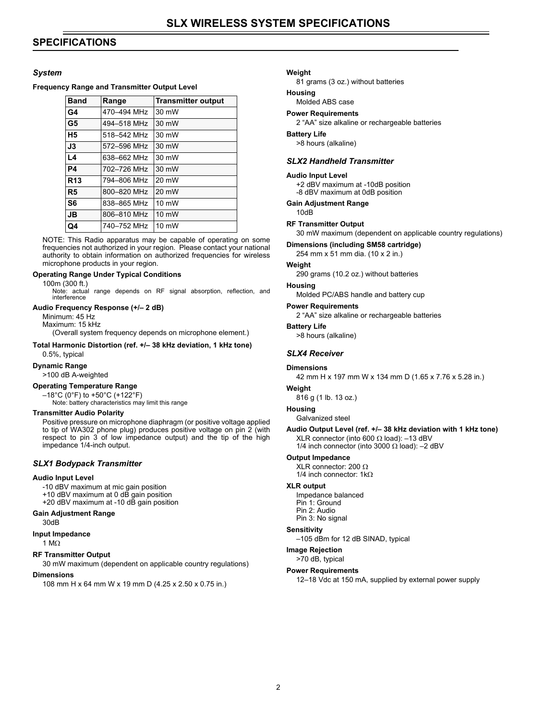# **SPECIFICATIONS**

# *System*

#### **Frequency Range and Transmitter Output Level**

| <b>Band</b>    | Range       | <b>Transmitter output</b> |
|----------------|-------------|---------------------------|
| G4             | 470-494 MHz | 30 mW                     |
| G <sub>5</sub> | 494-518 MHz | 30 mW                     |
| H <sub>5</sub> | 518-542 MHz | 30 mW                     |
| J3             | 572-596 MHz | 30 mW                     |
| L4             | 638-662 MHz | 30 mW                     |
| <b>P4</b>      | 702-726 MHz | 30 mW                     |
| <b>R13</b>     | 794-806 MHz | 20 mW                     |
| R <sub>5</sub> | 800-820 MHz | 20 mW                     |
| S <sub>6</sub> | 838-865 MHz | $10 \text{ mW}$           |
| <b>JB</b>      | 806-810 MHz | 10 mW                     |
| Q4             | 740–752 MHz | $10 \text{ mW}$           |

NOTE: This Radio apparatus may be capable of operating on some frequencies not authorized in your region. Please contact your national authority to obtain information on authorized frequencies for wireless microphone products in your region.

#### **Operating Range Under Typical Conditions**

100m (300 ft.)

Note: actual range depends on RF signal absorption, reflection, and interference

#### **Audio Frequency Response (+/– 2 dB)**

Minimum: 45 Hz Maximum: 15 kHz (Overall system frequency depends on microphone element.)

# **Total Harmonic Distortion (ref. +/– 38 kHz deviation, 1 kHz tone)**

0.5%, typical

# **Dynamic Range**

>100 dB A-weighted

# **Operating Temperature Range**

–18°C (0°F) to +50°C (+122°F) Note: battery characteristics may limit this range

#### **Transmitter Audio Polarity**

Positive pressure on microphone diaphragm (or positive voltage applied to tip of WA302 phone plug) produces positive voltage on pin 2 (with respect to pin 3 of low impedance output) and the tip of the high impedance 1/4-inch output.

# *SLX1 Bodypack Transmitter*

#### **Audio Input Level**

-10 dBV maximum at mic gain position +10 dBV maximum at 0 dB gain position

+20 dBV maximum at -10 dB gain position

#### **Gain Adjustment Range**

30dB

**Input Impedance**

1 MΩ

#### **RF Transmitter Output**

30 mW maximum (dependent on applicable country regulations)

#### **Dimensions**

108 mm H x 64 mm W x 19 mm D (4.25 x 2.50 x 0.75 in.)

#### **Weight**

81 grams (3 oz.) without batteries

# **Housing**

# Molded ABS case

# **Power Requirements**

2 "AA" size alkaline or rechargeable batteries

#### **Battery Life**

>8 hours (alkaline)

# *SLX2 Handheld Transmitter*

#### **Audio Input Level**

+2 dBV maximum at -10dB position -8 dBV maximum at 0dB position

#### **Gain Adjustment Range**

10dB

# **RF Transmitter Output**

30 mW maximum (dependent on applicable country regulations)

#### **Dimensions (including SM58 cartridge)**

254 mm x 51 mm dia. (10 x 2 in.)

# **Weight**

290 grams (10.2 oz.) without batteries

#### **Housing**

Molded PC/ABS handle and battery cup

#### **Power Requirements**

2 "AA" size alkaline or rechargeable batteries

#### **Battery Life**

>8 hours (alkaline)

#### *SLX4 Receiver*

#### **Dimensions**

42 mm H x 197 mm W x 134 mm D (1.65 x 7.76 x 5.28 in.)

# **Weight**

816 g (1 lb. 13 oz.)

# **Housing**

Galvanized steel

# **Audio Output Level (ref. +/– 38 kHz deviation with 1 kHz tone)** XLR connector (into 600  $\Omega$  load): -13 dBV

1/4 inch connector (into 3000  $\Omega$  load): -2 dBV

#### **Output Impedance**

XLR connector: 200 Ω 1/4 inch connector: 1kΩ

#### **XLR output**

Impedance balanced Pin 1: Ground Pin 2: Audio Pin 3: No signal

#### **Sensitivity**

–105 dBm for 12 dB SINAD, typical

# **Image Rejection**

>70 dB, typical

#### **Power Requirements**

12–18 Vdc at 150 mA, supplied by external power supply